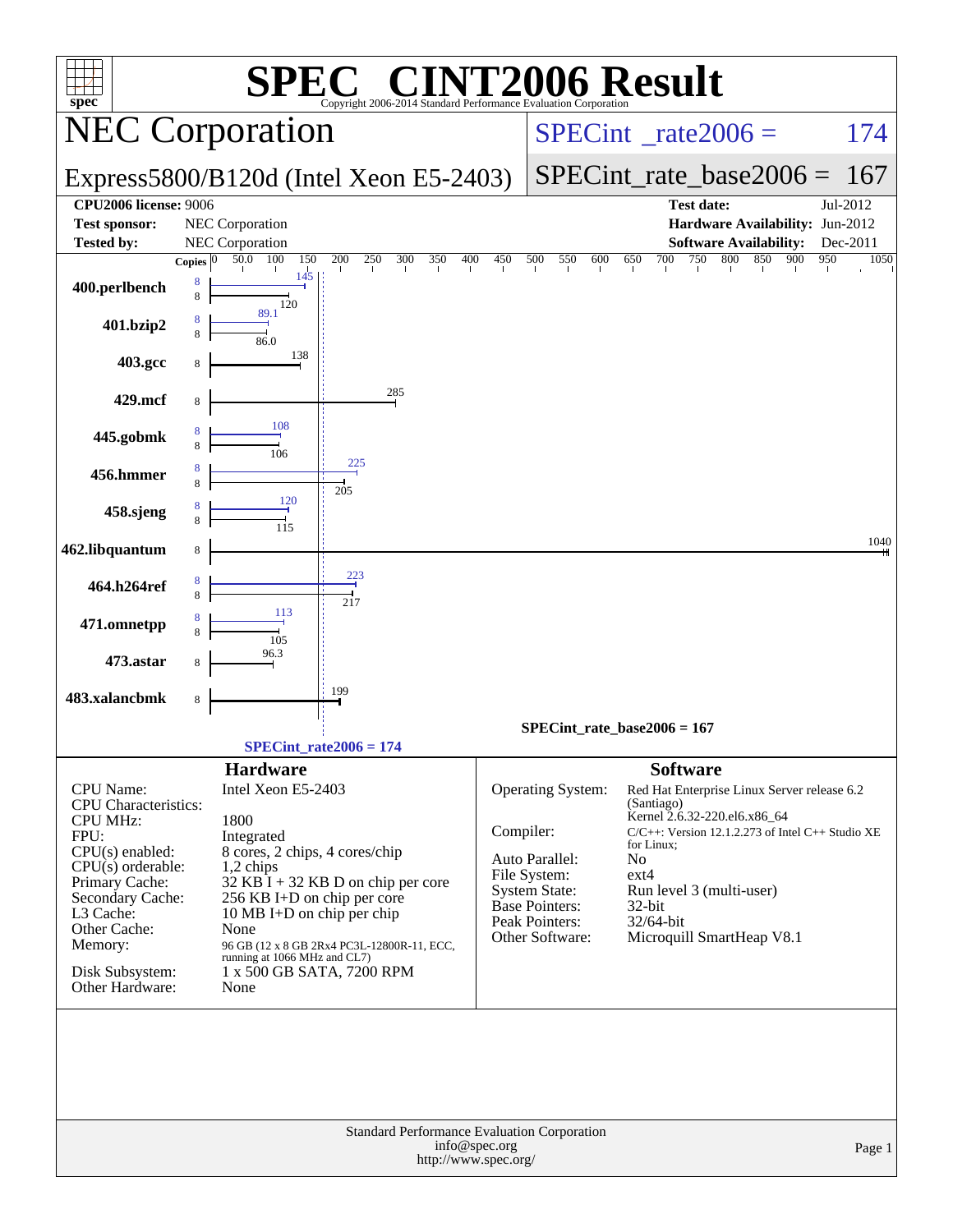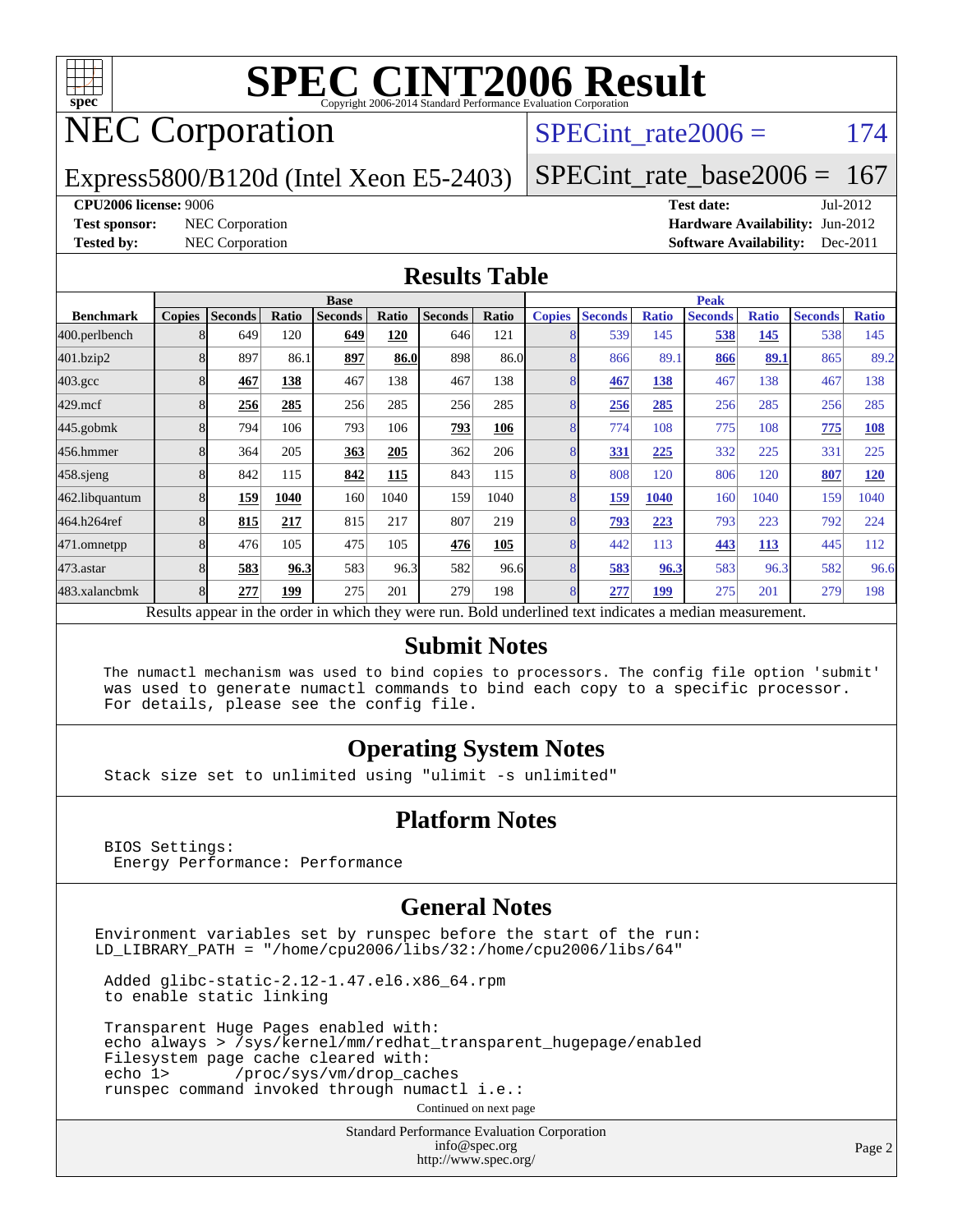

# NEC Corporation

#### SPECint rate $2006 = 174$

Express5800/B120d (Intel Xeon E5-2403)

[SPECint\\_rate\\_base2006 =](http://www.spec.org/auto/cpu2006/Docs/result-fields.html#SPECintratebase2006) 167

#### **[CPU2006 license:](http://www.spec.org/auto/cpu2006/Docs/result-fields.html#CPU2006license)** 9006 **[Test date:](http://www.spec.org/auto/cpu2006/Docs/result-fields.html#Testdate)** Jul-2012

**[Test sponsor:](http://www.spec.org/auto/cpu2006/Docs/result-fields.html#Testsponsor)** NEC Corporation **[Hardware Availability:](http://www.spec.org/auto/cpu2006/Docs/result-fields.html#HardwareAvailability)** Jun-2012 **[Tested by:](http://www.spec.org/auto/cpu2006/Docs/result-fields.html#Testedby)** NEC Corporation **[Software Availability:](http://www.spec.org/auto/cpu2006/Docs/result-fields.html#SoftwareAvailability)** Dec-2011

#### **[Results Table](http://www.spec.org/auto/cpu2006/Docs/result-fields.html#ResultsTable)**

|                  | <b>Base</b>   |                |       |                                                                                                          |       |                |       | <b>Peak</b>   |                |              |                |              |                |              |
|------------------|---------------|----------------|-------|----------------------------------------------------------------------------------------------------------|-------|----------------|-------|---------------|----------------|--------------|----------------|--------------|----------------|--------------|
| <b>Benchmark</b> | <b>Copies</b> | <b>Seconds</b> | Ratio | <b>Seconds</b>                                                                                           | Ratio | <b>Seconds</b> | Ratio | <b>Copies</b> | <b>Seconds</b> | <b>Ratio</b> | <b>Seconds</b> | <b>Ratio</b> | <b>Seconds</b> | <b>Ratio</b> |
| 400.perlbench    |               | 649            | 120   | 649                                                                                                      | 120   | 646            | 121   | 8             | 539            | 145          | 538            | 145          | 538            | 145          |
| 401.bzip2        |               | 897            | 86.1  | 897                                                                                                      | 86.0  | 898            | 86.0  | 8             | 866            | 89.1         | 866            | 89.1         | 865            | 89.2         |
| $403.\text{gcc}$ |               | 467            | 138   | 467                                                                                                      | 138   | 467            | 138   | 8             | 467            | 138          | 467            | 138          | 467            | 138          |
| $429$ .mcf       |               | 256            | 285   | 256                                                                                                      | 285   | 256            | 285   | 8             | 256            | 285          | 256            | 285          | 256            | 285          |
| $445$ .gobmk     |               | 794            | 106   | 793                                                                                                      | 106   | 793            | 106   | 8             | 774            | 108          | 775            | 108          | 775            | 108          |
| 456.hmmer        |               | 364            | 205   | 363                                                                                                      | 205   | 362            | 206   | 8             | 331            | 225          | 332            | 225          | 331            | 225          |
| $458$ .sjeng     |               | 842            | 115   | 842                                                                                                      | 115   | 843            | 115   | 8             | 808            | 120          | 806            | 120          | 807            | 120          |
| 462.libquantum   |               | 159            | 1040  | 160                                                                                                      | 1040  | 159            | 1040  | 8             | <u>159</u>     | <b>1040</b>  | 160            | 1040         | 159            | 1040         |
| 464.h264ref      |               | 815            | 217   | 815                                                                                                      | 217   | 807            | 219   | 8             | <u>793</u>     | 223          | 793            | 223          | 792            | 224          |
| 471.omnetpp      |               | 476            | 105   | 475                                                                                                      | 105   | 476            | 105   |               | 442            | 113          | 443            | 113          | 445            | 112          |
| 473.astar        |               | 583            | 96.3  | 583                                                                                                      | 96.3  | 582            | 96.6  | 8             | 583            | 96.3         | 583            | 96.3         | 582            | 96.6         |
| 483.xalancbmk    |               | 277            | 199   | 275                                                                                                      | 201   | 279            | 198   | 8             | 277            | 199          | 275            | 201          | 279            | 198          |
|                  |               |                |       | Results appear in the order in which they were run. Bold underlined text indicates a median measurement. |       |                |       |               |                |              |                |              |                |              |

#### **[Submit Notes](http://www.spec.org/auto/cpu2006/Docs/result-fields.html#SubmitNotes)**

 The numactl mechanism was used to bind copies to processors. The config file option 'submit' was used to generate numactl commands to bind each copy to a specific processor. For details, please see the config file.

#### **[Operating System Notes](http://www.spec.org/auto/cpu2006/Docs/result-fields.html#OperatingSystemNotes)**

Stack size set to unlimited using "ulimit -s unlimited"

#### **[Platform Notes](http://www.spec.org/auto/cpu2006/Docs/result-fields.html#PlatformNotes)**

 BIOS Settings: Energy Performance: Performance

#### **[General Notes](http://www.spec.org/auto/cpu2006/Docs/result-fields.html#GeneralNotes)**

Environment variables set by runspec before the start of the run: LD\_LIBRARY\_PATH = "/home/cpu2006/libs/32:/home/cpu2006/libs/64"

 Added glibc-static-2.12-1.47.el6.x86\_64.rpm to enable static linking

 Transparent Huge Pages enabled with: echo always > /sys/kernel/mm/redhat\_transparent\_hugepage/enabled Filesystem page cache cleared with: echo 1> /proc/sys/vm/drop\_caches runspec command invoked through numactl i.e.:

Continued on next page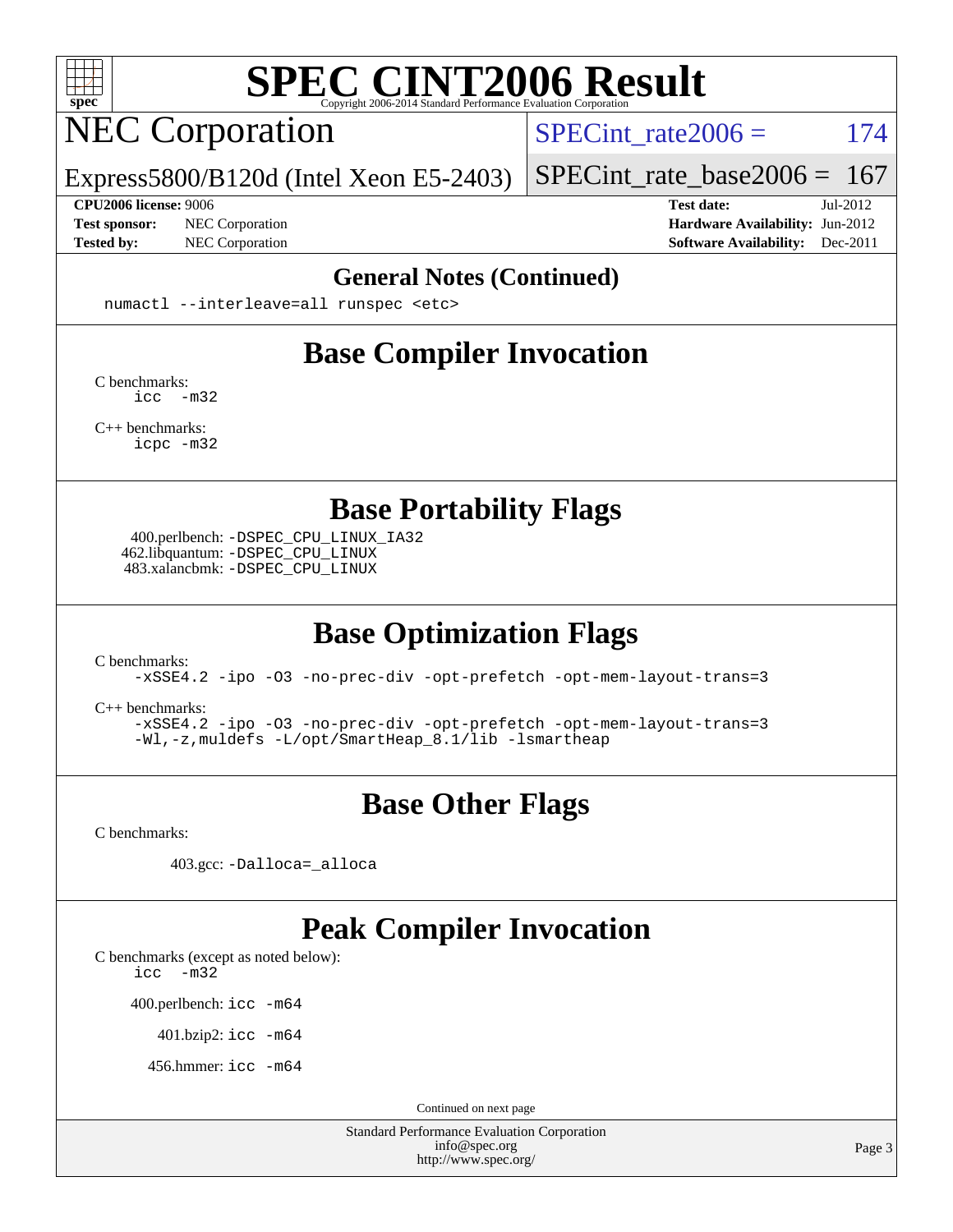

# NEC Corporation

SPECint rate $2006 = 174$ 

Express5800/B120d (Intel Xeon E5-2403)

#### **[CPU2006 license:](http://www.spec.org/auto/cpu2006/Docs/result-fields.html#CPU2006license)** 9006 **[Test date:](http://www.spec.org/auto/cpu2006/Docs/result-fields.html#Testdate)** Jul-2012

[SPECint\\_rate\\_base2006 =](http://www.spec.org/auto/cpu2006/Docs/result-fields.html#SPECintratebase2006)  $167$ 

**[Test sponsor:](http://www.spec.org/auto/cpu2006/Docs/result-fields.html#Testsponsor)** NEC Corporation **NEC Corporation [Hardware Availability:](http://www.spec.org/auto/cpu2006/Docs/result-fields.html#HardwareAvailability)** Jun-2012 **[Tested by:](http://www.spec.org/auto/cpu2006/Docs/result-fields.html#Testedby)** NEC Corporation **[Software Availability:](http://www.spec.org/auto/cpu2006/Docs/result-fields.html#SoftwareAvailability)** Dec-2011

#### **[General Notes \(Continued\)](http://www.spec.org/auto/cpu2006/Docs/result-fields.html#GeneralNotes)**

numactl --interleave=all runspec <etc>

### **[Base Compiler Invocation](http://www.spec.org/auto/cpu2006/Docs/result-fields.html#BaseCompilerInvocation)**

[C benchmarks](http://www.spec.org/auto/cpu2006/Docs/result-fields.html#Cbenchmarks): [icc -m32](http://www.spec.org/cpu2006/results/res2012q3/cpu2006-20120712-23635.flags.html#user_CCbase_intel_icc_5ff4a39e364c98233615fdd38438c6f2)

[C++ benchmarks:](http://www.spec.org/auto/cpu2006/Docs/result-fields.html#CXXbenchmarks) [icpc -m32](http://www.spec.org/cpu2006/results/res2012q3/cpu2006-20120712-23635.flags.html#user_CXXbase_intel_icpc_4e5a5ef1a53fd332b3c49e69c3330699)

**[Base Portability Flags](http://www.spec.org/auto/cpu2006/Docs/result-fields.html#BasePortabilityFlags)**

 400.perlbench: [-DSPEC\\_CPU\\_LINUX\\_IA32](http://www.spec.org/cpu2006/results/res2012q3/cpu2006-20120712-23635.flags.html#b400.perlbench_baseCPORTABILITY_DSPEC_CPU_LINUX_IA32) 462.libquantum: [-DSPEC\\_CPU\\_LINUX](http://www.spec.org/cpu2006/results/res2012q3/cpu2006-20120712-23635.flags.html#b462.libquantum_baseCPORTABILITY_DSPEC_CPU_LINUX) 483.xalancbmk: [-DSPEC\\_CPU\\_LINUX](http://www.spec.org/cpu2006/results/res2012q3/cpu2006-20120712-23635.flags.html#b483.xalancbmk_baseCXXPORTABILITY_DSPEC_CPU_LINUX)

# **[Base Optimization Flags](http://www.spec.org/auto/cpu2006/Docs/result-fields.html#BaseOptimizationFlags)**

[C benchmarks](http://www.spec.org/auto/cpu2006/Docs/result-fields.html#Cbenchmarks):

[-xSSE4.2](http://www.spec.org/cpu2006/results/res2012q3/cpu2006-20120712-23635.flags.html#user_CCbase_f-xSSE42_f91528193cf0b216347adb8b939d4107) [-ipo](http://www.spec.org/cpu2006/results/res2012q3/cpu2006-20120712-23635.flags.html#user_CCbase_f-ipo) [-O3](http://www.spec.org/cpu2006/results/res2012q3/cpu2006-20120712-23635.flags.html#user_CCbase_f-O3) [-no-prec-div](http://www.spec.org/cpu2006/results/res2012q3/cpu2006-20120712-23635.flags.html#user_CCbase_f-no-prec-div) [-opt-prefetch](http://www.spec.org/cpu2006/results/res2012q3/cpu2006-20120712-23635.flags.html#user_CCbase_f-opt-prefetch) [-opt-mem-layout-trans=3](http://www.spec.org/cpu2006/results/res2012q3/cpu2006-20120712-23635.flags.html#user_CCbase_f-opt-mem-layout-trans_a7b82ad4bd7abf52556d4961a2ae94d5)

[C++ benchmarks:](http://www.spec.org/auto/cpu2006/Docs/result-fields.html#CXXbenchmarks)

[-xSSE4.2](http://www.spec.org/cpu2006/results/res2012q3/cpu2006-20120712-23635.flags.html#user_CXXbase_f-xSSE42_f91528193cf0b216347adb8b939d4107) [-ipo](http://www.spec.org/cpu2006/results/res2012q3/cpu2006-20120712-23635.flags.html#user_CXXbase_f-ipo) [-O3](http://www.spec.org/cpu2006/results/res2012q3/cpu2006-20120712-23635.flags.html#user_CXXbase_f-O3) [-no-prec-div](http://www.spec.org/cpu2006/results/res2012q3/cpu2006-20120712-23635.flags.html#user_CXXbase_f-no-prec-div) [-opt-prefetch](http://www.spec.org/cpu2006/results/res2012q3/cpu2006-20120712-23635.flags.html#user_CXXbase_f-opt-prefetch) [-opt-mem-layout-trans=3](http://www.spec.org/cpu2006/results/res2012q3/cpu2006-20120712-23635.flags.html#user_CXXbase_f-opt-mem-layout-trans_a7b82ad4bd7abf52556d4961a2ae94d5) [-Wl,-z,muldefs](http://www.spec.org/cpu2006/results/res2012q3/cpu2006-20120712-23635.flags.html#user_CXXbase_link_force_multiple1_74079c344b956b9658436fd1b6dd3a8a) [-L/opt/SmartHeap\\_8.1/lib -lsmartheap](http://www.spec.org/cpu2006/results/res2012q3/cpu2006-20120712-23635.flags.html#user_CXXbase_SmartHeap_d5ba4dfc9de25d3c657c7de7476e66c5)

# **[Base Other Flags](http://www.spec.org/auto/cpu2006/Docs/result-fields.html#BaseOtherFlags)**

[C benchmarks](http://www.spec.org/auto/cpu2006/Docs/result-fields.html#Cbenchmarks):

403.gcc: [-Dalloca=\\_alloca](http://www.spec.org/cpu2006/results/res2012q3/cpu2006-20120712-23635.flags.html#b403.gcc_baseEXTRA_CFLAGS_Dalloca_be3056838c12de2578596ca5467af7f3)

### **[Peak Compiler Invocation](http://www.spec.org/auto/cpu2006/Docs/result-fields.html#PeakCompilerInvocation)**

[C benchmarks \(except as noted below\)](http://www.spec.org/auto/cpu2006/Docs/result-fields.html#Cbenchmarksexceptasnotedbelow):

[icc -m32](http://www.spec.org/cpu2006/results/res2012q3/cpu2006-20120712-23635.flags.html#user_CCpeak_intel_icc_5ff4a39e364c98233615fdd38438c6f2)

400.perlbench: [icc -m64](http://www.spec.org/cpu2006/results/res2012q3/cpu2006-20120712-23635.flags.html#user_peakCCLD400_perlbench_intel_icc_64bit_bda6cc9af1fdbb0edc3795bac97ada53)

401.bzip2: [icc -m64](http://www.spec.org/cpu2006/results/res2012q3/cpu2006-20120712-23635.flags.html#user_peakCCLD401_bzip2_intel_icc_64bit_bda6cc9af1fdbb0edc3795bac97ada53)

456.hmmer: [icc -m64](http://www.spec.org/cpu2006/results/res2012q3/cpu2006-20120712-23635.flags.html#user_peakCCLD456_hmmer_intel_icc_64bit_bda6cc9af1fdbb0edc3795bac97ada53)

Continued on next page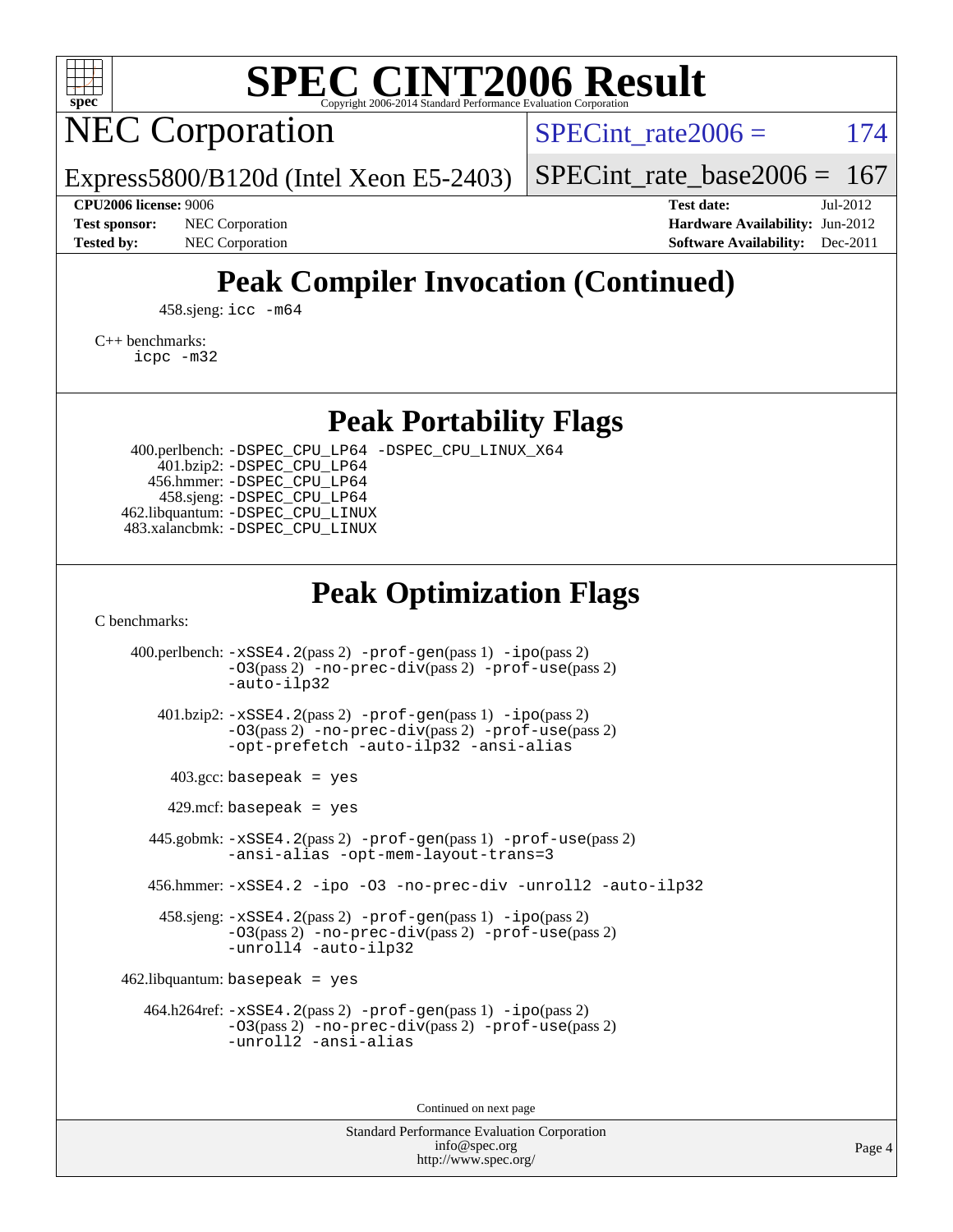

NEC Corporation

SPECint rate $2006 = 174$ 

[SPECint\\_rate\\_base2006 =](http://www.spec.org/auto/cpu2006/Docs/result-fields.html#SPECintratebase2006)  $167$ 

**[Test sponsor:](http://www.spec.org/auto/cpu2006/Docs/result-fields.html#Testsponsor)** NEC Corporation **NEC Corporation [Hardware Availability:](http://www.spec.org/auto/cpu2006/Docs/result-fields.html#HardwareAvailability)** Jun-2012

**[CPU2006 license:](http://www.spec.org/auto/cpu2006/Docs/result-fields.html#CPU2006license)** 9006 **[Test date:](http://www.spec.org/auto/cpu2006/Docs/result-fields.html#Testdate)** Jul-2012 **[Tested by:](http://www.spec.org/auto/cpu2006/Docs/result-fields.html#Testedby)** NEC Corporation **[Software Availability:](http://www.spec.org/auto/cpu2006/Docs/result-fields.html#SoftwareAvailability)** Dec-2011

# **[Peak Compiler Invocation \(Continued\)](http://www.spec.org/auto/cpu2006/Docs/result-fields.html#PeakCompilerInvocation)**

458.sjeng: [icc -m64](http://www.spec.org/cpu2006/results/res2012q3/cpu2006-20120712-23635.flags.html#user_peakCCLD458_sjeng_intel_icc_64bit_bda6cc9af1fdbb0edc3795bac97ada53)

Express5800/B120d (Intel Xeon E5-2403)

[C++ benchmarks:](http://www.spec.org/auto/cpu2006/Docs/result-fields.html#CXXbenchmarks)

[icpc -m32](http://www.spec.org/cpu2006/results/res2012q3/cpu2006-20120712-23635.flags.html#user_CXXpeak_intel_icpc_4e5a5ef1a53fd332b3c49e69c3330699)

**[Peak Portability Flags](http://www.spec.org/auto/cpu2006/Docs/result-fields.html#PeakPortabilityFlags)**

 400.perlbench: [-DSPEC\\_CPU\\_LP64](http://www.spec.org/cpu2006/results/res2012q3/cpu2006-20120712-23635.flags.html#b400.perlbench_peakCPORTABILITY_DSPEC_CPU_LP64) [-DSPEC\\_CPU\\_LINUX\\_X64](http://www.spec.org/cpu2006/results/res2012q3/cpu2006-20120712-23635.flags.html#b400.perlbench_peakCPORTABILITY_DSPEC_CPU_LINUX_X64) 401.bzip2: [-DSPEC\\_CPU\\_LP64](http://www.spec.org/cpu2006/results/res2012q3/cpu2006-20120712-23635.flags.html#suite_peakCPORTABILITY401_bzip2_DSPEC_CPU_LP64) 456.hmmer: [-DSPEC\\_CPU\\_LP64](http://www.spec.org/cpu2006/results/res2012q3/cpu2006-20120712-23635.flags.html#suite_peakCPORTABILITY456_hmmer_DSPEC_CPU_LP64) 458.sjeng: [-DSPEC\\_CPU\\_LP64](http://www.spec.org/cpu2006/results/res2012q3/cpu2006-20120712-23635.flags.html#suite_peakCPORTABILITY458_sjeng_DSPEC_CPU_LP64) 462.libquantum: [-DSPEC\\_CPU\\_LINUX](http://www.spec.org/cpu2006/results/res2012q3/cpu2006-20120712-23635.flags.html#b462.libquantum_peakCPORTABILITY_DSPEC_CPU_LINUX) 483.xalancbmk: [-DSPEC\\_CPU\\_LINUX](http://www.spec.org/cpu2006/results/res2012q3/cpu2006-20120712-23635.flags.html#b483.xalancbmk_peakCXXPORTABILITY_DSPEC_CPU_LINUX)

### **[Peak Optimization Flags](http://www.spec.org/auto/cpu2006/Docs/result-fields.html#PeakOptimizationFlags)**

[C benchmarks](http://www.spec.org/auto/cpu2006/Docs/result-fields.html#Cbenchmarks):

 400.perlbench: [-xSSE4.2](http://www.spec.org/cpu2006/results/res2012q3/cpu2006-20120712-23635.flags.html#user_peakPASS2_CFLAGSPASS2_LDCFLAGS400_perlbench_f-xSSE42_f91528193cf0b216347adb8b939d4107)(pass 2) [-prof-gen](http://www.spec.org/cpu2006/results/res2012q3/cpu2006-20120712-23635.flags.html#user_peakPASS1_CFLAGSPASS1_LDCFLAGS400_perlbench_prof_gen_e43856698f6ca7b7e442dfd80e94a8fc)(pass 1) [-ipo](http://www.spec.org/cpu2006/results/res2012q3/cpu2006-20120712-23635.flags.html#user_peakPASS2_CFLAGSPASS2_LDCFLAGS400_perlbench_f-ipo)(pass 2) [-O3](http://www.spec.org/cpu2006/results/res2012q3/cpu2006-20120712-23635.flags.html#user_peakPASS2_CFLAGSPASS2_LDCFLAGS400_perlbench_f-O3)(pass 2) [-no-prec-div](http://www.spec.org/cpu2006/results/res2012q3/cpu2006-20120712-23635.flags.html#user_peakPASS2_CFLAGSPASS2_LDCFLAGS400_perlbench_f-no-prec-div)(pass 2) [-prof-use](http://www.spec.org/cpu2006/results/res2012q3/cpu2006-20120712-23635.flags.html#user_peakPASS2_CFLAGSPASS2_LDCFLAGS400_perlbench_prof_use_bccf7792157ff70d64e32fe3e1250b55)(pass 2) [-auto-ilp32](http://www.spec.org/cpu2006/results/res2012q3/cpu2006-20120712-23635.flags.html#user_peakCOPTIMIZE400_perlbench_f-auto-ilp32) 401.bzip2: [-xSSE4.2](http://www.spec.org/cpu2006/results/res2012q3/cpu2006-20120712-23635.flags.html#user_peakPASS2_CFLAGSPASS2_LDCFLAGS401_bzip2_f-xSSE42_f91528193cf0b216347adb8b939d4107)(pass 2) [-prof-gen](http://www.spec.org/cpu2006/results/res2012q3/cpu2006-20120712-23635.flags.html#user_peakPASS1_CFLAGSPASS1_LDCFLAGS401_bzip2_prof_gen_e43856698f6ca7b7e442dfd80e94a8fc)(pass 1) [-ipo](http://www.spec.org/cpu2006/results/res2012q3/cpu2006-20120712-23635.flags.html#user_peakPASS2_CFLAGSPASS2_LDCFLAGS401_bzip2_f-ipo)(pass 2) [-O3](http://www.spec.org/cpu2006/results/res2012q3/cpu2006-20120712-23635.flags.html#user_peakPASS2_CFLAGSPASS2_LDCFLAGS401_bzip2_f-O3)(pass 2) [-no-prec-div](http://www.spec.org/cpu2006/results/res2012q3/cpu2006-20120712-23635.flags.html#user_peakPASS2_CFLAGSPASS2_LDCFLAGS401_bzip2_f-no-prec-div)(pass 2) [-prof-use](http://www.spec.org/cpu2006/results/res2012q3/cpu2006-20120712-23635.flags.html#user_peakPASS2_CFLAGSPASS2_LDCFLAGS401_bzip2_prof_use_bccf7792157ff70d64e32fe3e1250b55)(pass 2) [-opt-prefetch](http://www.spec.org/cpu2006/results/res2012q3/cpu2006-20120712-23635.flags.html#user_peakCOPTIMIZE401_bzip2_f-opt-prefetch) [-auto-ilp32](http://www.spec.org/cpu2006/results/res2012q3/cpu2006-20120712-23635.flags.html#user_peakCOPTIMIZE401_bzip2_f-auto-ilp32) [-ansi-alias](http://www.spec.org/cpu2006/results/res2012q3/cpu2006-20120712-23635.flags.html#user_peakCOPTIMIZE401_bzip2_f-ansi-alias)  $403.\text{gcc: basepeak}$  = yes  $429$ .mcf: basepeak = yes 445.gobmk: [-xSSE4.2](http://www.spec.org/cpu2006/results/res2012q3/cpu2006-20120712-23635.flags.html#user_peakPASS2_CFLAGSPASS2_LDCFLAGS445_gobmk_f-xSSE42_f91528193cf0b216347adb8b939d4107)(pass 2) [-prof-gen](http://www.spec.org/cpu2006/results/res2012q3/cpu2006-20120712-23635.flags.html#user_peakPASS1_CFLAGSPASS1_LDCFLAGS445_gobmk_prof_gen_e43856698f6ca7b7e442dfd80e94a8fc)(pass 1) [-prof-use](http://www.spec.org/cpu2006/results/res2012q3/cpu2006-20120712-23635.flags.html#user_peakPASS2_CFLAGSPASS2_LDCFLAGS445_gobmk_prof_use_bccf7792157ff70d64e32fe3e1250b55)(pass 2) [-ansi-alias](http://www.spec.org/cpu2006/results/res2012q3/cpu2006-20120712-23635.flags.html#user_peakCOPTIMIZE445_gobmk_f-ansi-alias) [-opt-mem-layout-trans=3](http://www.spec.org/cpu2006/results/res2012q3/cpu2006-20120712-23635.flags.html#user_peakCOPTIMIZE445_gobmk_f-opt-mem-layout-trans_a7b82ad4bd7abf52556d4961a2ae94d5) 456.hmmer: [-xSSE4.2](http://www.spec.org/cpu2006/results/res2012q3/cpu2006-20120712-23635.flags.html#user_peakCOPTIMIZE456_hmmer_f-xSSE42_f91528193cf0b216347adb8b939d4107) [-ipo](http://www.spec.org/cpu2006/results/res2012q3/cpu2006-20120712-23635.flags.html#user_peakCOPTIMIZE456_hmmer_f-ipo) [-O3](http://www.spec.org/cpu2006/results/res2012q3/cpu2006-20120712-23635.flags.html#user_peakCOPTIMIZE456_hmmer_f-O3) [-no-prec-div](http://www.spec.org/cpu2006/results/res2012q3/cpu2006-20120712-23635.flags.html#user_peakCOPTIMIZE456_hmmer_f-no-prec-div) [-unroll2](http://www.spec.org/cpu2006/results/res2012q3/cpu2006-20120712-23635.flags.html#user_peakCOPTIMIZE456_hmmer_f-unroll_784dae83bebfb236979b41d2422d7ec2) [-auto-ilp32](http://www.spec.org/cpu2006/results/res2012q3/cpu2006-20120712-23635.flags.html#user_peakCOPTIMIZE456_hmmer_f-auto-ilp32) 458.sjeng: [-xSSE4.2](http://www.spec.org/cpu2006/results/res2012q3/cpu2006-20120712-23635.flags.html#user_peakPASS2_CFLAGSPASS2_LDCFLAGS458_sjeng_f-xSSE42_f91528193cf0b216347adb8b939d4107)(pass 2) [-prof-gen](http://www.spec.org/cpu2006/results/res2012q3/cpu2006-20120712-23635.flags.html#user_peakPASS1_CFLAGSPASS1_LDCFLAGS458_sjeng_prof_gen_e43856698f6ca7b7e442dfd80e94a8fc)(pass 1) [-ipo](http://www.spec.org/cpu2006/results/res2012q3/cpu2006-20120712-23635.flags.html#user_peakPASS2_CFLAGSPASS2_LDCFLAGS458_sjeng_f-ipo)(pass 2) [-O3](http://www.spec.org/cpu2006/results/res2012q3/cpu2006-20120712-23635.flags.html#user_peakPASS2_CFLAGSPASS2_LDCFLAGS458_sjeng_f-O3)(pass 2) [-no-prec-div](http://www.spec.org/cpu2006/results/res2012q3/cpu2006-20120712-23635.flags.html#user_peakPASS2_CFLAGSPASS2_LDCFLAGS458_sjeng_f-no-prec-div)(pass 2) [-prof-use](http://www.spec.org/cpu2006/results/res2012q3/cpu2006-20120712-23635.flags.html#user_peakPASS2_CFLAGSPASS2_LDCFLAGS458_sjeng_prof_use_bccf7792157ff70d64e32fe3e1250b55)(pass 2) [-unroll4](http://www.spec.org/cpu2006/results/res2012q3/cpu2006-20120712-23635.flags.html#user_peakCOPTIMIZE458_sjeng_f-unroll_4e5e4ed65b7fd20bdcd365bec371b81f) [-auto-ilp32](http://www.spec.org/cpu2006/results/res2012q3/cpu2006-20120712-23635.flags.html#user_peakCOPTIMIZE458_sjeng_f-auto-ilp32)  $462$ .libquantum: basepeak = yes 464.h264ref: [-xSSE4.2](http://www.spec.org/cpu2006/results/res2012q3/cpu2006-20120712-23635.flags.html#user_peakPASS2_CFLAGSPASS2_LDCFLAGS464_h264ref_f-xSSE42_f91528193cf0b216347adb8b939d4107)(pass 2) [-prof-gen](http://www.spec.org/cpu2006/results/res2012q3/cpu2006-20120712-23635.flags.html#user_peakPASS1_CFLAGSPASS1_LDCFLAGS464_h264ref_prof_gen_e43856698f6ca7b7e442dfd80e94a8fc)(pass 1) [-ipo](http://www.spec.org/cpu2006/results/res2012q3/cpu2006-20120712-23635.flags.html#user_peakPASS2_CFLAGSPASS2_LDCFLAGS464_h264ref_f-ipo)(pass 2) [-O3](http://www.spec.org/cpu2006/results/res2012q3/cpu2006-20120712-23635.flags.html#user_peakPASS2_CFLAGSPASS2_LDCFLAGS464_h264ref_f-O3)(pass 2) [-no-prec-div](http://www.spec.org/cpu2006/results/res2012q3/cpu2006-20120712-23635.flags.html#user_peakPASS2_CFLAGSPASS2_LDCFLAGS464_h264ref_f-no-prec-div)(pass 2) [-prof-use](http://www.spec.org/cpu2006/results/res2012q3/cpu2006-20120712-23635.flags.html#user_peakPASS2_CFLAGSPASS2_LDCFLAGS464_h264ref_prof_use_bccf7792157ff70d64e32fe3e1250b55)(pass 2) [-unroll2](http://www.spec.org/cpu2006/results/res2012q3/cpu2006-20120712-23635.flags.html#user_peakCOPTIMIZE464_h264ref_f-unroll_784dae83bebfb236979b41d2422d7ec2) [-ansi-alias](http://www.spec.org/cpu2006/results/res2012q3/cpu2006-20120712-23635.flags.html#user_peakCOPTIMIZE464_h264ref_f-ansi-alias)

Continued on next page